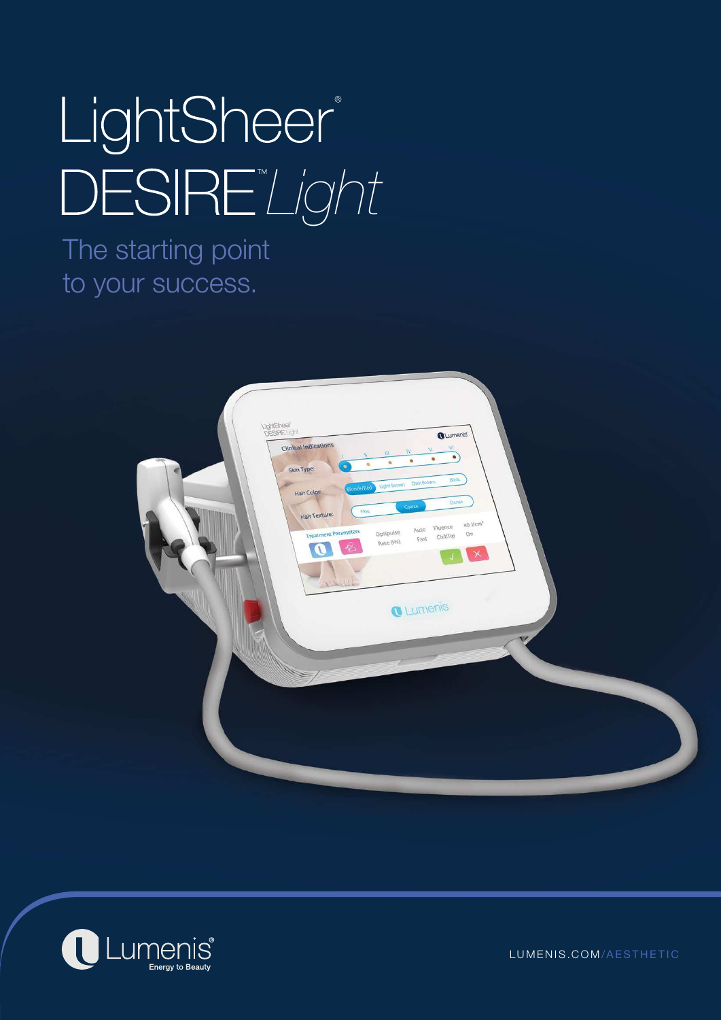# LightSheer® *Light*

The starting point to your success.





LUMENIS.COM /AESTHETIC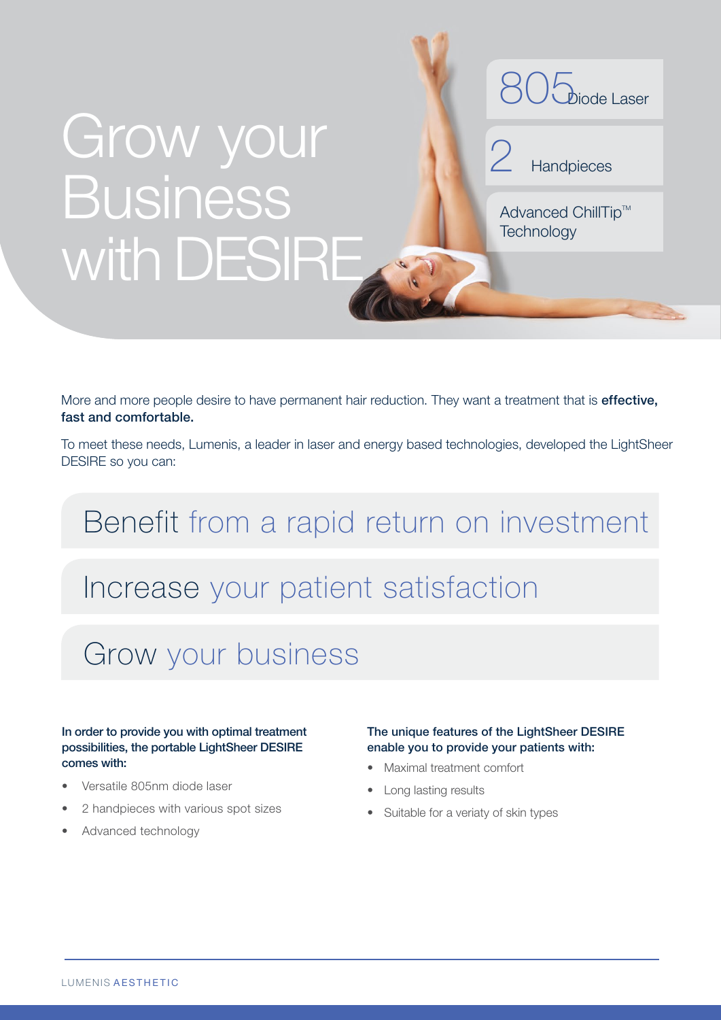## Grow your Business with DESIRE



2 **Handpieces** 

Advanced ChillTip™ **Technology** 

More and more people desire to have permanent hair reduction. They want a treatment that is **effective**, fast and comfortable.

To meet these needs, Lumenis, a leader in laser and energy based technologies, developed the LightSheer DESIRE so you can:

### Benefit from a rapid return on investment

### Increase your patient satisfaction

### Grow your business

#### In order to provide you with optimal treatment possibilities, the portable LightSheer DESIRE comes with:

- Versatile 805nm diode laser
- 2 handpieces with various spot sizes
- Advanced technology

#### The unique features of the LightSheer DESIRE enable you to provide your patients with:

- Maximal treatment comfort
- Long lasting results
- Suitable for a veriaty of skin types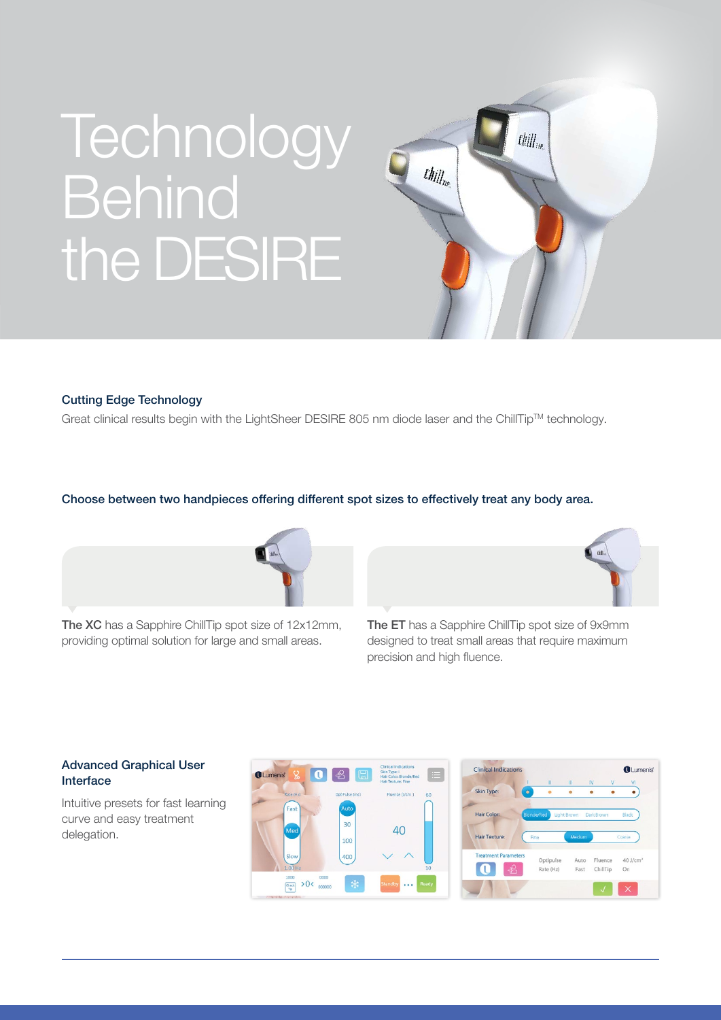## **Technology Behind** the DESIRE



#### Cutting Edge Technology

Great clinical results begin with the LightSheer DESIRE 805 nm diode laser and the ChillTip™ technology.

#### Choose between two handpieces offering different spot sizes to effectively treat any body area.



The XC has a Sapphire ChillTip spot size of 12x12mm, providing optimal solution for large and small areas.



The ET has a Sapphire ChillTip spot size of 9x9mm designed to treat small areas that require maximum precision and high fluence.

#### Advanced Graphical User Interface

Intuitive presets for fast learning curve and easy treatment delegation.



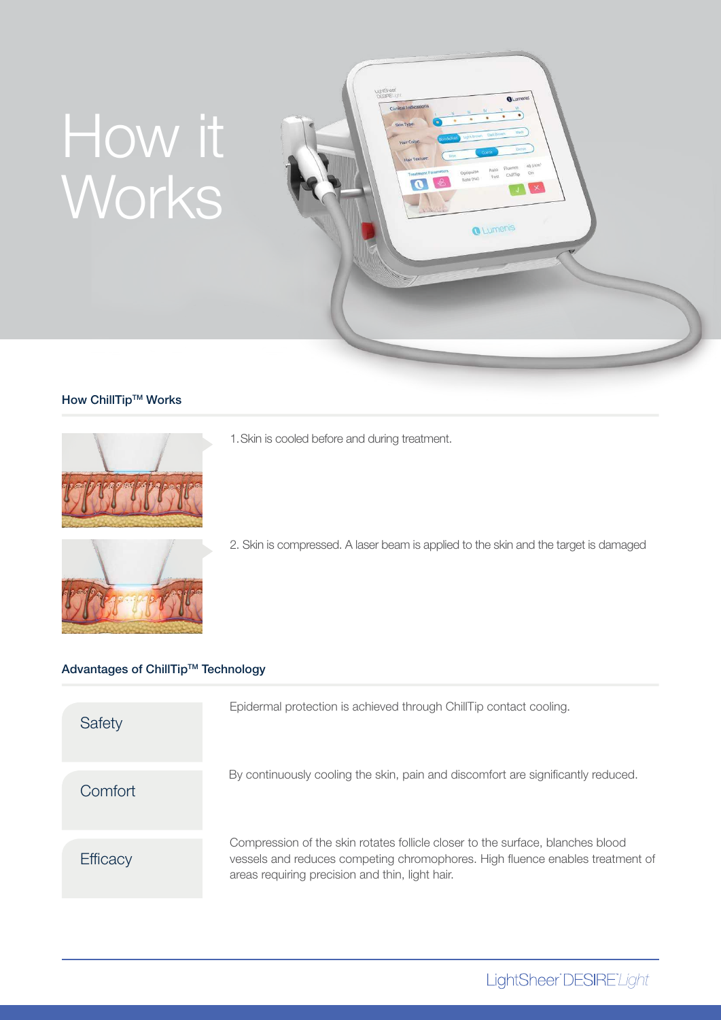## How it Works



#### How ChillTip™ Works



- 1. Skin is cooled before and during treatment.
- 
- 2. Skin is compressed. A laser beam is applied to the skin and the target is damaged

### Advantages of ChillTip™ Technology

| Safety   | Epidermal protection is achieved through ChillTip contact cooling.                                                                                                                                                 |
|----------|--------------------------------------------------------------------------------------------------------------------------------------------------------------------------------------------------------------------|
| Comfort  | By continuously cooling the skin, pain and discomfort are significantly reduced.                                                                                                                                   |
| Efficacy | Compression of the skin rotates follicle closer to the surface, blanches blood<br>vessels and reduces competing chromophores. High fluence enables treatment of<br>areas requiring precision and thin, light hair. |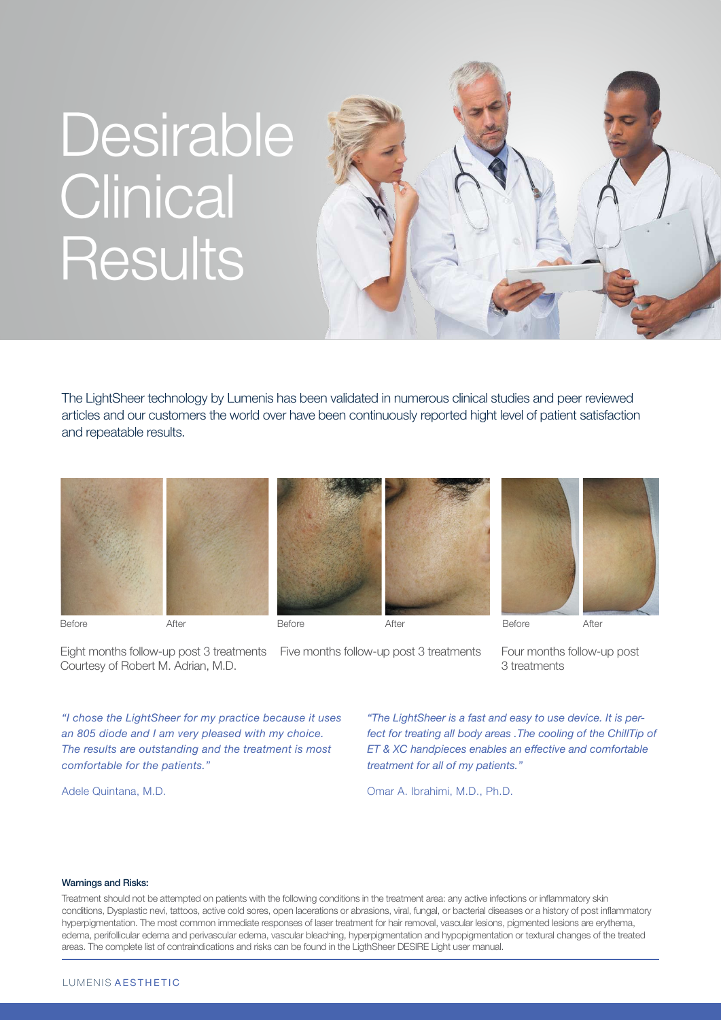## Desirable **Clinical** Results



The LightSheer technology by Lumenis has been validated in numerous clinical studies and peer reviewed articles and our customers the world over have been continuously reported hight level of patient satisfaction and repeatable results.



Eight months follow-up post 3 treatments Courtesy of Robert M. Adrian, M.D.

Five months follow-up post 3 treatments Four months follow-up post

3 treatments

*"I chose the LightSheer for my practice because it uses an 805 diode and I am very pleased with my choice. The results are outstanding and the treatment is most comfortable for the patients."*

Adele Quintana, M.D.

*"The LightSheer is a fast and easy to use device. It is perfect for treating all body areas .The cooling of the ChillTip of ET & XC handpieces enables an effective and comfortable treatment for all of my patients."*

Omar A. Ibrahimi, M.D., Ph.D.

#### Warnings and Risks:

Treatment should not be attempted on patients with the following conditions in the treatment area: any active infections or inflammatory skin conditions, Dysplastic nevi, tattoos, active cold sores, open lacerations or abrasions, viral, fungal, or bacterial diseases or a history of post inflammatory hyperpigmentation. The most common immediate responses of laser treatment for hair removal, vascular lesions, pigmented lesions are erythema, edema, perifollicular edema and perivascular edema, vascular bleaching, hyperpigmentation and hypopigmentation or textural changes of the treated areas. The complete list of contraindications and risks can be found in the LigthSheer DESIRE Light user manual.